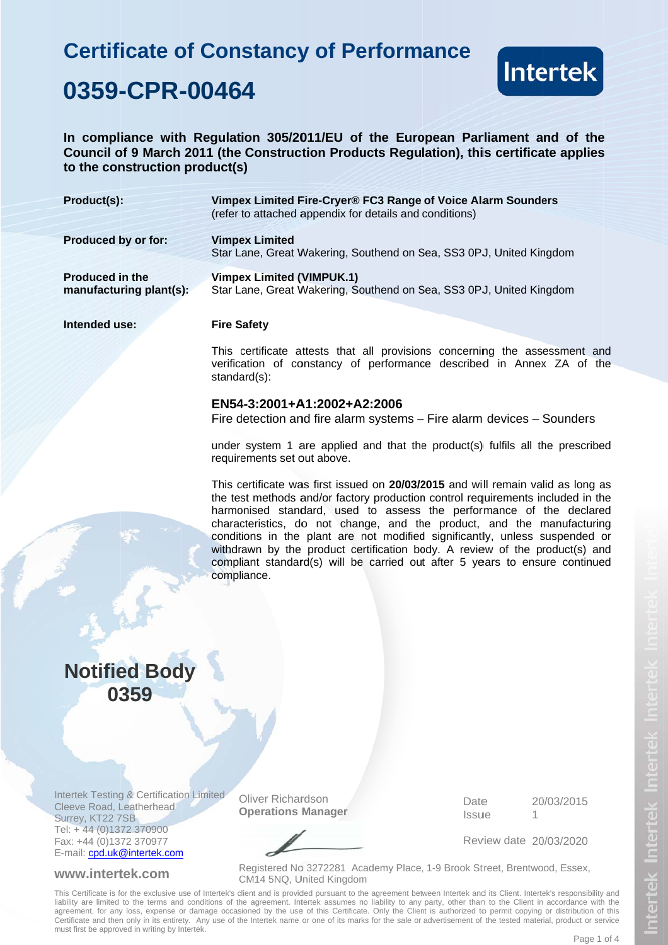# **Certificate of Constancy of Performance** 0359-CPR-00464



In compliance with Regulation 305/2011/EU of the European Parliament and of the Council of 9 March 2011 (the Construction Products Regulation), this certificate applies to the construction product(s)

| Product(s):                                       | Vimpex Limited Fire-Cryer® FC3 Range of Voice Alarm Sounders<br>(refer to attached appendix for details and conditions) |
|---------------------------------------------------|-------------------------------------------------------------------------------------------------------------------------|
| Produced by or for:                               | <b>Vimpex Limited</b><br>Star Lane, Great Wakering, Southend on Sea, SS3 0PJ, United Kingdom                            |
| <b>Produced in the</b><br>manufacturing plant(s): | <b>Vimpex Limited (VIMPUK.1)</b><br>Star Lane, Great Wakering, Southend on Sea, SS3 0PJ, United Kingdom                 |
| Intended use:                                     | <b>Fire Safety</b>                                                                                                      |

This certificate attests that all provisions concerning the assessment and verification of constancy of performance described in Annex ZA of the standard(s):

#### EN54-3:2001+A1:2002+A2:2006

Fire detection and fire alarm systems – Fire alarm devices – Sounders

under system 1 are applied and that the product(s) fulfils all the prescribed requirements set out above.

This certificate was first issued on 20/03/2015 and will remain valid as long as the test methods and/or factory production control requirements included in the harmonised standard, used to assess the performance of the declared characteristics, do not change, and the product, and the manufacturing conditions in the plant are not modified significantly, unless suspended or withdrawn by the product certification body. A review of the product(s) and compliant standard(s) will be carried out after 5 years to ensure continued compliance.

## **Notified Body** 0359

**Intertek Testing & Certification Limited** Cleeve Road, Leatherhead Surrey, KT22 7SB Tel: +44 (0)1372 370900 Fax: +44 (0)1372 370977 E-mail: cpd.uk@intertek.com

#### www.intertek.com

**Oliver Richardson Operations Manager**  Date 20/03/2015 Issue 1

Review date 20/03/2020

Registered No 3272281 Academy Place, 1-9 Brook Street, Brentwood, Essex, CM14 5NQ, United Kingdom

This Certificate is for the exclusive use of Intertek's client and is provided pursuant to the agreement between Intertek and its Client. Intertek's responsibility and liability are limited to the terms and conditions of the agreement. Intertek assumes no liability to any party, other than to the Client in accordance with the agreement, for any loss, expense or damage occasioned by the use of this Certificate. Only the Client is authorized to permit copying or distribution of this Certificate and then only in its entirety. Any use of the Intertek name or one of its marks for the sale or advertisement of the tested material, product or service must first be approved in writing by Intertek.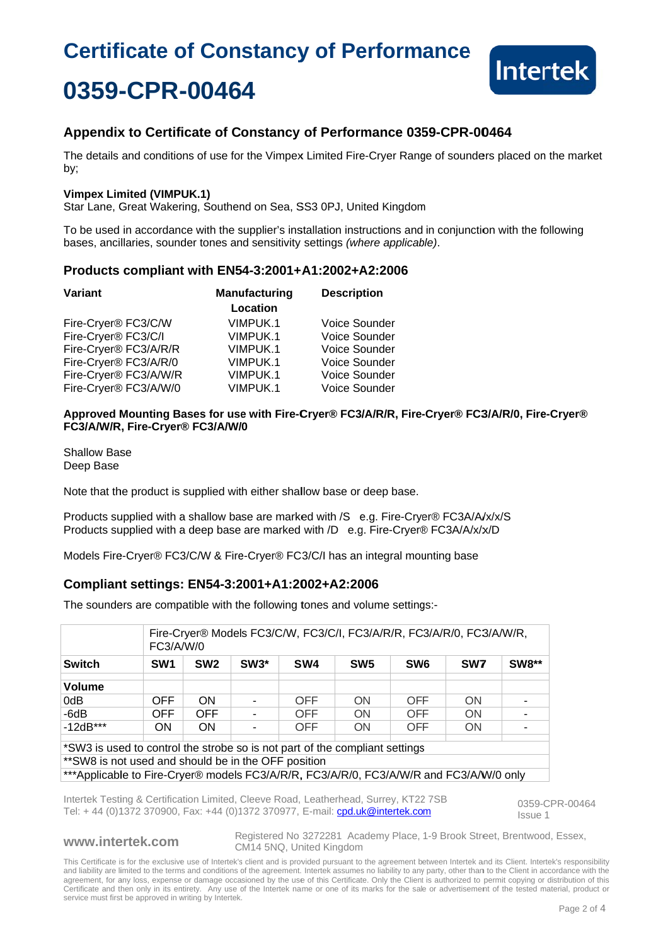# **Certificate of Constancy of Performance** 0359-CPR-00464



### Appendix to Certificate of Constancy of Performance 0359-CPR-00464

The details and conditions of use for the Vimpex Limited Fire-Crver Range of sounders placed on the market by:

#### **Vimpex Limited (VIMPUK.1)**

Star Lane, Great Wakering, Southend on Sea, SS3 0PJ, United Kingdom

To be used in accordance with the supplier's installation instructions and in conjunction with the following bases, ancillaries, sounder tones and sensitivity settings (where applicable).

#### Products compliant with EN54-3:2001+A1:2002+A2:2006

| Variant               | <b>Manufacturing</b> | <b>Description</b> |  |
|-----------------------|----------------------|--------------------|--|
|                       | Location             |                    |  |
| Fire-Cryer® FC3/C/W   | VIMPUK.1             | Voice Sounder      |  |
| Fire-Cryer® FC3/C/I   | VIMPUK.1             | Voice Sounder      |  |
| Fire-Cryer® FC3/A/R/R | VIMPUK.1             | Voice Sounder      |  |
| Fire-Cryer® FC3/A/R/0 | VIMPUK.1             | Voice Sounder      |  |
| Fire-Cryer® FC3/A/W/R | VIMPUK.1             | Voice Sounder      |  |
| Fire-Cryer® FC3/A/W/0 | VIMPUK.1             | Voice Sounder      |  |

Approved Mounting Bases for use with Fire-Cryer® FC3/A/R/R, Fire-Cryer® FC3/A/R/0, Fire-Cryer® FC3/A/W/R, Fire-Cryer® FC3/A/W/0

**Shallow Base** Deep Base

Note that the product is supplied with either shallow base or deep base.

Products supplied with a shallow base are marked with /S e.g. Fire-Cryer® FC3A/A/x/x/S Products supplied with a deep base are marked with /D e.g. Fire-Cryer® FC3A/A/x/x/D

Models Fire-Cryer® FC3/C/W & Fire-Cryer® FC3/C/I has an integral mounting base

### Compliant settings: EN54-3:2001+A1:2002+A2:2006

The sounders are compatible with the following tones and volume settings:-

|                                                                                                                                     |                 | Fire-Cryer® Models FC3/C/W, FC3/C/I, FC3/A/R/R, FC3/A/R/0, FC3/A/W/R,<br>FC3/A/W/0 |        |                 |                 |                 |           |              |  |  |
|-------------------------------------------------------------------------------------------------------------------------------------|-----------------|------------------------------------------------------------------------------------|--------|-----------------|-----------------|-----------------|-----------|--------------|--|--|
| <b>Switch</b>                                                                                                                       | SW <sub>1</sub> | SW <sub>2</sub>                                                                    | $SW3*$ | SW <sub>4</sub> | SW <sub>5</sub> | SW <sub>6</sub> | SW7       | <b>SW8**</b> |  |  |
| <b>Volume</b>                                                                                                                       |                 |                                                                                    |        |                 |                 |                 |           |              |  |  |
| 0dB                                                                                                                                 | OFF.            | <b>ON</b>                                                                          |        | <b>OFF</b>      | <b>ON</b>       | <b>OFF</b>      | <b>ON</b> |              |  |  |
| $-6dB$                                                                                                                              | <b>OFF</b>      | <b>OFF</b>                                                                         |        | <b>OFF</b>      | <b>ON</b>       | OFF             | <b>ON</b> |              |  |  |
| $-12dB***$                                                                                                                          | ON              | ON                                                                                 |        | OFF             | <b>ON</b>       | <b>OFF</b>      | <b>ON</b> |              |  |  |
| *SW3 is used to control the strobe so is not part of the compliant settings<br>** SW8 is not used and should be in the OFF position |                 |                                                                                    |        |                 |                 |                 |           |              |  |  |

\*Applicable to Fire-Cryer® models FC3/A/R/R, FC3/A/R/0, FC3/A/W/R and FC3/A/W/0 only

Intertek Testing & Certification Limited, Cleeve Road, Leatherhead, Surrey, KT22 7SB Tel: +44 (0)1372 370900, Fax: +44 (0)1372 370977, E-mail: cpd.uk@intertek.com

0359-CPR-00464 Issue 1

#### www.intertek.com

Registered No 3272281 Academy Place, 1-9 Brook Street, Brentwood, Essex, CM14 5NQ, United Kingdom

This Certificate is for the exclusive use of Intertek's client and is provided pursuant to the agreement between Intertek and its Client. Intertek's responsibility and liability are limited to the terms and conditions of the agreement. Intertek assumes no liability to any party, other than to the Client in accordance with the agreement, for any loss, expense or damage occasioned by t Sertificate and then only in its entirety. Any use of the Intertek name or one of its marks for the sale or advertisement of the tested material, product or service must first be approved in writing by Intertek.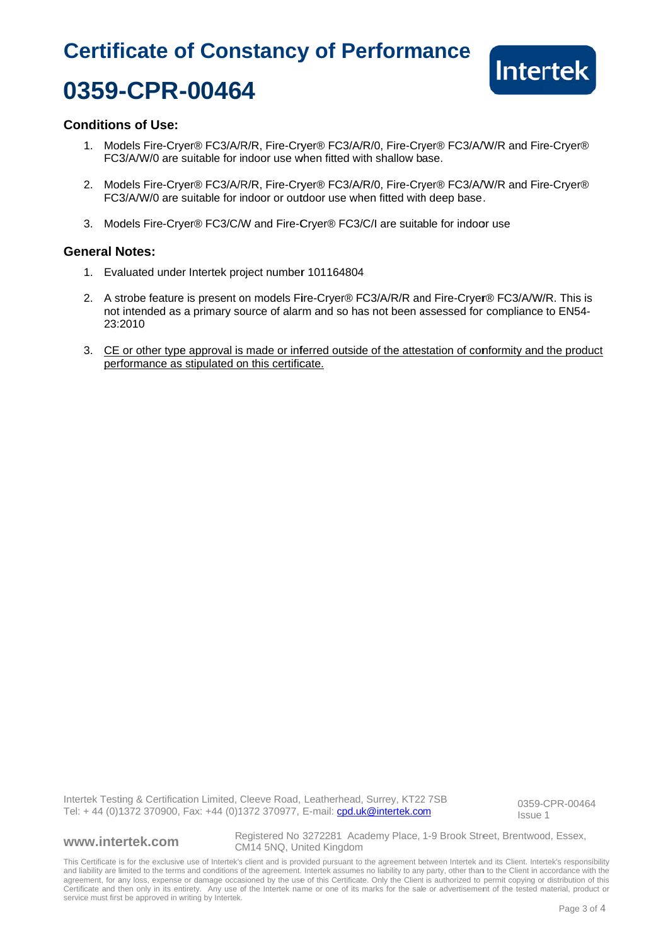# **Certificate of Constancy of Performance** 0359-CPR-00464



### **Conditions of Use:**

- 1. Models Fire-Cryer® FC3/A/R/R, Fire-Cryer® FC3/A/R/0, Fire-Cryer® FC3/A/W/R and Fire-Cryer® FC3/A/W/0 are suitable for indoor use when fitted with shallow base.
- 2. Models Fire-Cryer® FC3/A/R/R, Fire-Cryer® FC3/A/R/0, Fire-Cryer® FC3/A/W/R and Fire-Cryer® FC3/A/W/0 are suitable for indoor or outdoor use when fitted with deep base.
- 3. Models Fire-Cryer® FC3/C/W and Fire-Cryer® FC3/C/I are suitable for indoor use

#### **General Notes:**

- 1. Evaluated under Intertek project number 101164804
- 2. A strobe feature is present on models Fire-Cryer® FC3/A/R/R and Fire-Cryer® FC3/A/W/R. This is not intended as a primary source of alarm and so has not been assessed for compliance to EN54-23:2010
- 3. CE or other type approval is made or inferred outside of the attestation of conformity and the product performance as stipulated on this certificate.

Intertek Testing & Certification Limited, Cleeve Road, Leatherhead, Surrey, KT22 7SB Tel: +44 (0)1372 370900, Fax: +44 (0)1372 370977, E-mail: cpd.uk@intertek.com

0359-CPR-00464 Issue 1

#### www.intertek.com

Registered No 3272281 Academy Place, 1-9 Brook Street, Brentwood, Essex, CM14 5NQ, United Kingdom

This Certificate is for the exclusive use of Intertek's client and is provided pursuant to the agreement between Intertek and its Client. Intertek's responsibility and liability are limited to the terms and conditions of the agreement. Intertek assumes no liability to any party, other than to the Client in accordance with the agreement, for any loss, expense or damage occasioned by t Certificate and then only in its entirety. Any use of the Intertek name or one of its marks for the sale or advertisement of the tested material, product or service must first be approved in writing by Intertek.